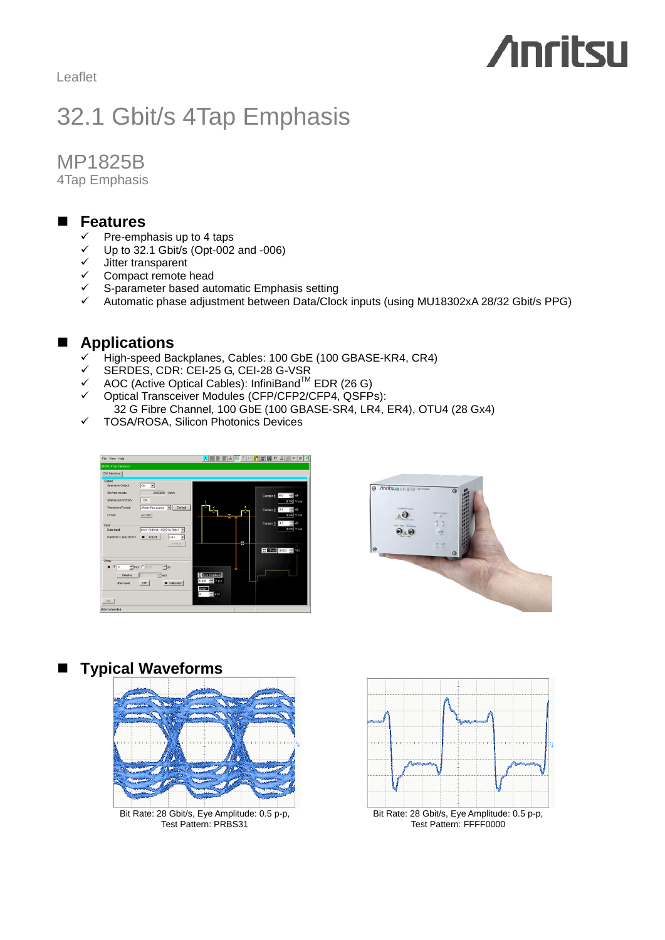Leaflet

# **Anritsu**

# 32.1 Gbit/s 4Tap Emphasis

MP1825B

4Tap Emphasis

#### **Features**

- Pre-emphasis up to 4 taps
- $\checkmark$  Up to 32.1 Gbit/s (Opt-002 and -006)
- $\checkmark$  Jitter transparent
- $\checkmark$  Compact remote head
- $\checkmark$  S-parameter based automatic Emphasis setting
- $\checkmark$  Automatic phase adjustment between Data/Clock inputs (using MU18302xA 28/32 Gbit/s PPG)

## **Applications**

- High-speed Backplanes, Cables: 100 GbE (100 GBASE-KR4, CR4)
- SERDES, CDR: CEI-25 G, CEI-28 G-VSR
- $\checkmark$  AOC (Active Optical Cables): InfiniBand<sup>TM</sup> EDR (26 G)  $\checkmark$  AOC (Active Optical Cables): InfiniBand<sup>TM</sup> EDR (26 G)<br>  $\checkmark$  Optical Transceiver Modules (CFP/CFP2/CFP4, QSFPs):
- 
- 32 G Fibre Channel, 100 GbE (100 GBASE-SR4, LR4, ER4), OTU4 (28 Gx4)
- $\checkmark$  TOSA/ROSA, Silicon Photonics Devices





#### **Typical Waveforms**



Bit Rate: 28 Gbit/s, Eye Amplitude: 0.5 p-p, Test Pattern: PRBS31